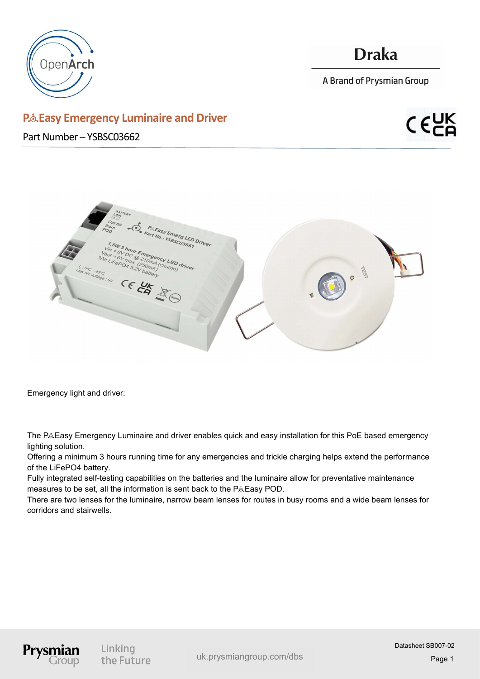

## **Draka**

A Brand of Prysmian Group

www.prysmiangroup.com uk.prysmiangroup.com/dbs

Page 1

Datasheet SB007-02

### P& Easy Emergency Luminaire and Driver

Part Number – YSBSC03662





Emergency light and driver:

Prysm

Linking the Future

The P&Easy Emergency Luminaire and driver enables quick and easy installation for this PoE based emergency lighting solution.

Offering a minimum 3 hours running time for any emergencies and trickle charging helps extend the performance of the LiFePO4 battery.

Fully integrated self-testing capabilities on the batteries and the luminaire allow for preventative maintenance measures to be set, all the information is sent back to the P&Easy POD.

There are two lenses for the luminaire, narrow beam lenses for routes in busy rooms and a wide beam lenses for corridors and stairwells.